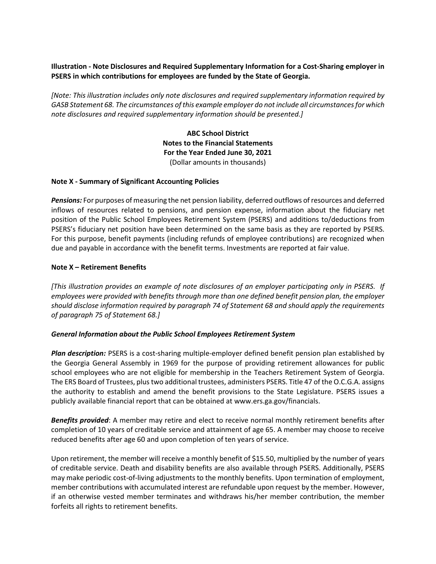# **Illustration - Note Disclosures and Required Supplementary Information for a Cost-Sharing employer in PSERS in which contributions for employees are funded by the State of Georgia.**

*[Note: This illustration includes only note disclosures and required supplementary information required by GASB Statement 68. The circumstances of this example employer do not include all circumstances for which note disclosures and required supplementary information should be presented.]*

> **ABC School District Notes to the Financial Statements For the Year Ended June 30, 2021** (Dollar amounts in thousands)

### **Note X - Summary of Significant Accounting Policies**

*Pensions:* For purposes of measuring the net pension liability, deferred outflows of resources and deferred inflows of resources related to pensions, and pension expense, information about the fiduciary net position of the Public School Employees Retirement System (PSERS) and additions to/deductions from PSERS's fiduciary net position have been determined on the same basis as they are reported by PSERS. For this purpose, benefit payments (including refunds of employee contributions) are recognized when due and payable in accordance with the benefit terms. Investments are reported at fair value.

### **Note X – Retirement Benefits**

*[This illustration provides an example of note disclosures of an employer participating only in PSERS. If employees were provided with benefits through more than one defined benefit pension plan, the employer should disclose information required by paragraph 74 of Statement 68 and should apply the requirements of paragraph 75 of Statement 68.]*

#### *General Information about the Public School Employees Retirement System*

*Plan description:* PSERS is a cost-sharing multiple-employer defined benefit pension plan established by the Georgia General Assembly in 1969 for the purpose of providing retirement allowances for public school employees who are not eligible for membership in the Teachers Retirement System of Georgia. The ERS Board of Trustees, plus two additional trustees, administers PSERS. Title 47 of the O.C.G.A. assigns the authority to establish and amend the benefit provisions to the State Legislature. PSERS issues a publicly available financial report that can be obtained at www.ers.ga.gov/financials.

*Benefits provided*: A member may retire and elect to receive normal monthly retirement benefits after completion of 10 years of creditable service and attainment of age 65. A member may choose to receive reduced benefits after age 60 and upon completion of ten years of service.

Upon retirement, the member will receive a monthly benefit of \$15.50, multiplied by the number of years of creditable service. Death and disability benefits are also available through PSERS. Additionally, PSERS may make periodic cost-of-living adjustments to the monthly benefits. Upon termination of employment, member contributions with accumulated interest are refundable upon request by the member. However, if an otherwise vested member terminates and withdraws his/her member contribution, the member forfeits all rights to retirement benefits.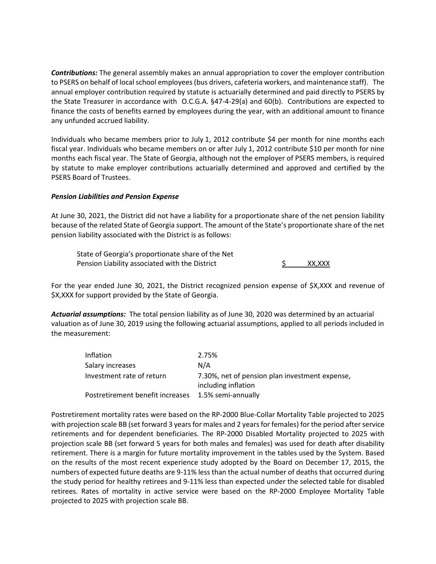*Contributions:* The general assembly makes an annual appropriation to cover the employer contribution to PSERS on behalf of local school employees (bus drivers, cafeteria workers, and maintenance staff). The annual employer contribution required by statute is actuarially determined and paid directly to PSERS by the State Treasurer in accordance with O.C.G.A. §47-4-29(a) and 60(b). Contributions are expected to finance the costs of benefits earned by employees during the year, with an additional amount to finance any unfunded accrued liability.

Individuals who became members prior to July 1, 2012 contribute \$4 per month for nine months each fiscal year. Individuals who became members on or after July 1, 2012 contribute \$10 per month for nine months each fiscal year. The State of Georgia, although not the employer of PSERS members, is required by statute to make employer contributions actuarially determined and approved and certified by the PSERS Board of Trustees.

### *Pension Liabilities and Pension Expense*

At June 30, 2021, the District did not have a liability for a proportionate share of the net pension liability because of the related State of Georgia support. The amount of the State's proportionate share of the net pension liability associated with the District is as follows:

State of Georgia's proportionate share of the Net Pension Liability associated with the District  $\sim$  S XX,XXX

For the year ended June 30, 2021, the District recognized pension expense of \$X,XXX and revenue of \$X,XXX for support provided by the State of Georgia.

*Actuarial assumptions:* The total pension liability as of June 30, 2020 was determined by an actuarial valuation as of June 30, 2019 using the following actuarial assumptions, applied to all periods included in the measurement:

| Inflation                        | 2.75%                                                                 |
|----------------------------------|-----------------------------------------------------------------------|
| Salary increases                 | N/A                                                                   |
| Investment rate of return        | 7.30%, net of pension plan investment expense,<br>including inflation |
| Postretirement benefit increases | 1.5% semi-annually                                                    |

Postretirement mortality rates were based on the RP-2000 Blue-Collar Mortality Table projected to 2025 with projection scale BB (set forward 3 years for males and 2 years for females) for the period after service retirements and for dependent beneficiaries. The RP-2000 Disabled Mortality projected to 2025 with projection scale BB (set forward 5 years for both males and females) was used for death after disability retirement. There is a margin for future mortality improvement in the tables used by the System. Based on the results of the most recent experience study adopted by the Board on December 17, 2015, the numbers of expected future deaths are 9-11% less than the actual number of deaths that occurred during the study period for healthy retirees and 9-11% less than expected under the selected table for disabled retirees. Rates of mortality in active service were based on the RP-2000 Employee Mortality Table projected to 2025 with projection scale BB.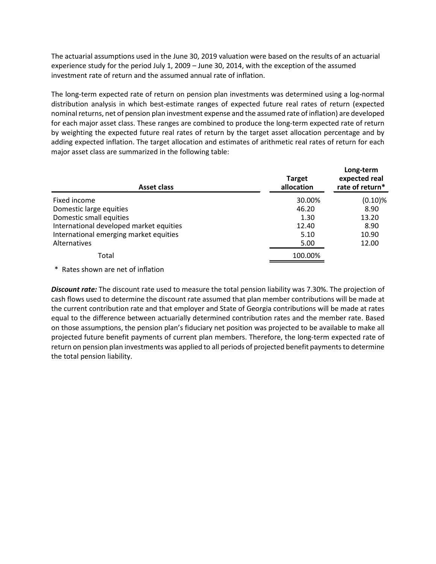The actuarial assumptions used in the June 30, 2019 valuation were based on the results of an actuarial experience study for the period July 1, 2009 – June 30, 2014, with the exception of the assumed investment rate of return and the assumed annual rate of inflation.

The long-term expected rate of return on pension plan investments was determined using a log-normal distribution analysis in which best-estimate ranges of expected future real rates of return (expected nominal returns, net of pension plan investment expense and the assumed rate of inflation) are developed for each major asset class. These ranges are combined to produce the long-term expected rate of return by weighting the expected future real rates of return by the target asset allocation percentage and by adding expected inflation. The target allocation and estimates of arithmetic real rates of return for each major asset class are summarized in the following table:

| Asset class                             | <b>Target</b><br>allocation | Long-term<br>expected real<br>rate of return* |  |
|-----------------------------------------|-----------------------------|-----------------------------------------------|--|
| Fixed income                            | 30.00%                      | $(0.10)\%$                                    |  |
| Domestic large equities                 | 46.20                       | 8.90                                          |  |
| Domestic small equities                 | 1.30                        | 13.20                                         |  |
| International developed market equities | 12.40                       | 8.90                                          |  |
| International emerging market equities  | 5.10                        | 10.90                                         |  |
| <b>Alternatives</b>                     | 5.00                        | 12.00                                         |  |
| Total                                   | 100.00%                     |                                               |  |

\* Rates shown are net of inflation

*Discount rate:* The discount rate used to measure the total pension liability was 7.30%. The projection of cash flows used to determine the discount rate assumed that plan member contributions will be made at the current contribution rate and that employer and State of Georgia contributions will be made at rates equal to the difference between actuarially determined contribution rates and the member rate. Based on those assumptions, the pension plan's fiduciary net position was projected to be available to make all projected future benefit payments of current plan members. Therefore, the long-term expected rate of return on pension plan investments was applied to all periods of projected benefit payments to determine the total pension liability.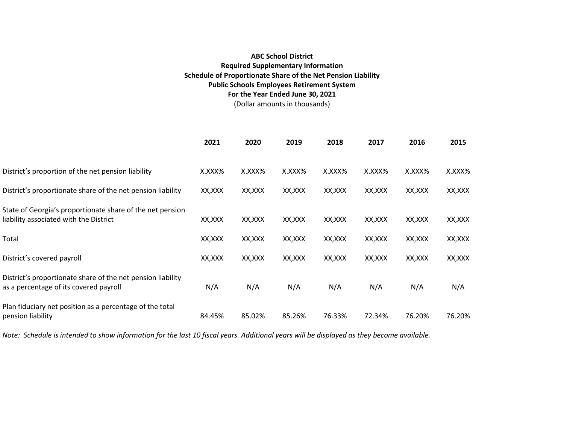# **ABC School District Required Supplementary Information Schedule of Proportionate Share of the Net Pension Liability Public Schools Employees Retirement System For the Year Ended June 30, 2021** (Dollar amounts in thousands)

|                                                                                                       | 2021    | 2020    | 2019    | 2018    | 2017    | 2016    | 2015    |
|-------------------------------------------------------------------------------------------------------|---------|---------|---------|---------|---------|---------|---------|
| District's proportion of the net pension liability                                                    | X.XXX%  | X.XXX%  | X.XXX%  | X.XXX%  | X.XXX%  | X.XXX%  | X.XXX%  |
| District's proportionate share of the net pension liability                                           | XX,XXX  | XX,XXX  | XX,XXX  | XX,XXX  | XX, XXX | XX,XXX  | XX, XXX |
| State of Georgia's proportionate share of the net pension<br>liability associated with the District   | XX,XXX  | XX,XXX  | XX, XXX | XX,XXX  | XX, XXX | XX, XXX | XX,XXX  |
| Total                                                                                                 | XX, XXX | XX, XXX | XX, XXX | XX, XXX | XX, XXX | XX, XXX | XX, XXX |
| District's covered payroll                                                                            | XX, XXX | XX, XXX | XX, XXX | XX, XXX | XX, XXX | XX, XXX | XX, XXX |
| District's proportionate share of the net pension liability<br>as a percentage of its covered payroll | N/A     | N/A     | N/A     | N/A     | N/A     | N/A     | N/A     |
| Plan fiduciary net position as a percentage of the total<br>pension liability                         | 84.45%  | 85.02%  | 85.26%  | 76.33%  | 72.34%  | 76.20%  | 76.20%  |

*Note: Schedule is intended to show information for the last 10 fiscal years. Additional years will be displayed as they become available.*